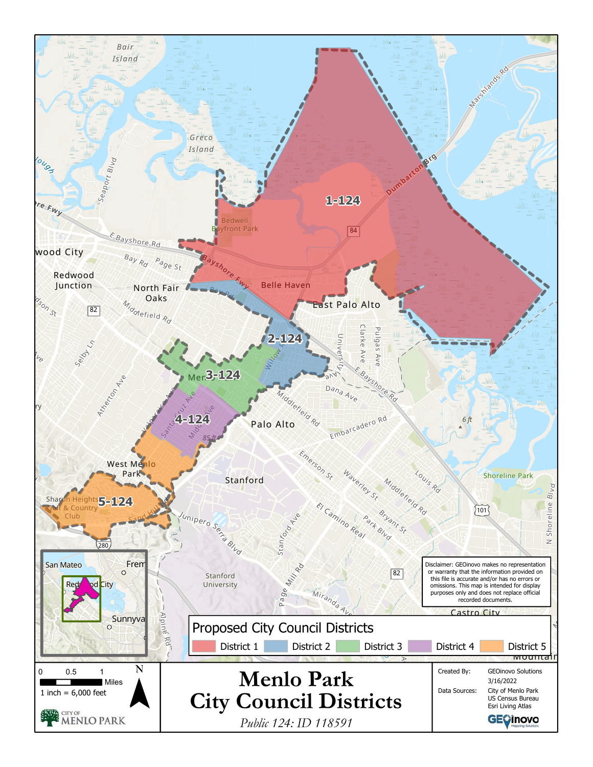